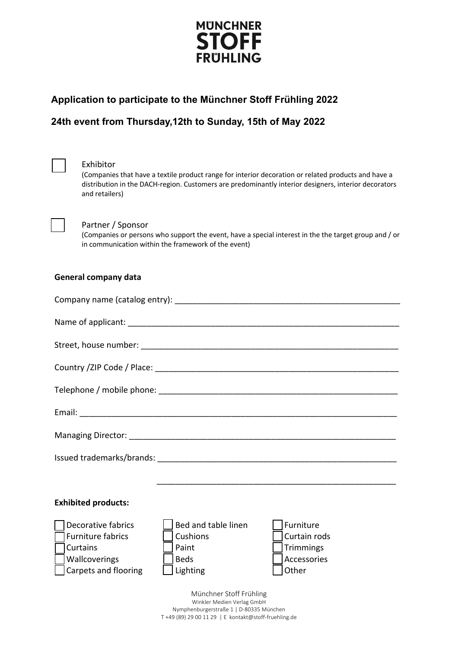

## **Application to participate to the Münchner Stoff Frühling 2022 Application to participate to the Münchner Stoff Frühling 2022**

# **24th event from Thursday, March 31st to Sunday, April 4th 2022 24th event from Thursday,12th to Sunday, 15th of May 2022**



#### Exhibitor

(Companies that have a textile product range for interior decoration or related products and have a distribution in the DACH-region. Customers are predominantly interior designers, interior decorators and retailers)



#### Partner / Sponsor

(Companies or persons who support the event, have a special interest in the the target group and / or in communication within the framework of the event)

#### **General company data**

| <b>Exhibited products:</b>                |                                 |                           |  |
|-------------------------------------------|---------------------------------|---------------------------|--|
| Decorative fabrics<br>  Furniture fabrics | Bed and table linen<br>Cushions | Furniture<br>Curtain rods |  |

( ) Curtains ( ) Paint ( ) Trimmings

| <b>Wallcoverings</b> | <b>Beds</b>                                           | Accessories  |
|----------------------|-------------------------------------------------------|--------------|
| Carpets and flooring | Lighting                                              | <b>Other</b> |
|                      | Münchner Stoff Frühling<br>Winkler Medien Verlag GmbH |              |

Nymphenburgerstraße 1 | D-80335 München T +49 (89) 29 00 11 29 | E kontakt@stoff-fruehling.de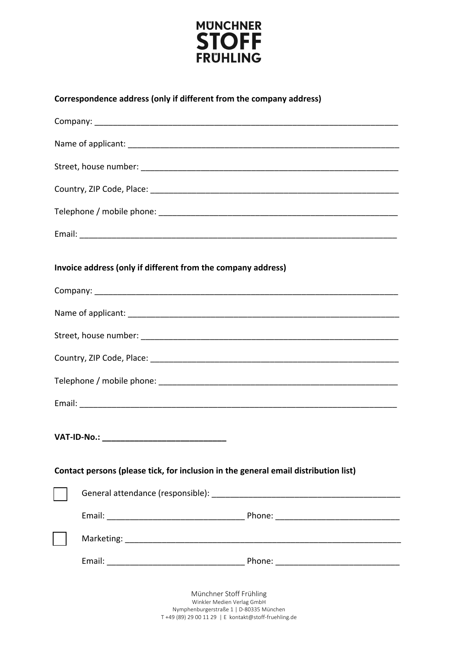

| Correspondence address (only if different from the company address) |  |  |  |
|---------------------------------------------------------------------|--|--|--|
|                                                                     |  |  |  |

| Invoice address (only if different from the company address)                        |                                                       |  |  |
|-------------------------------------------------------------------------------------|-------------------------------------------------------|--|--|
|                                                                                     |                                                       |  |  |
|                                                                                     |                                                       |  |  |
|                                                                                     |                                                       |  |  |
|                                                                                     |                                                       |  |  |
|                                                                                     |                                                       |  |  |
|                                                                                     |                                                       |  |  |
| VAT-ID-No.: ___________________________________                                     |                                                       |  |  |
| Contact persons (please tick, for inclusion in the general email distribution list) |                                                       |  |  |
|                                                                                     |                                                       |  |  |
|                                                                                     |                                                       |  |  |
|                                                                                     |                                                       |  |  |
|                                                                                     |                                                       |  |  |
|                                                                                     | Münchner Stoff Frühling<br>Winkler Medien Verlag GmbH |  |  |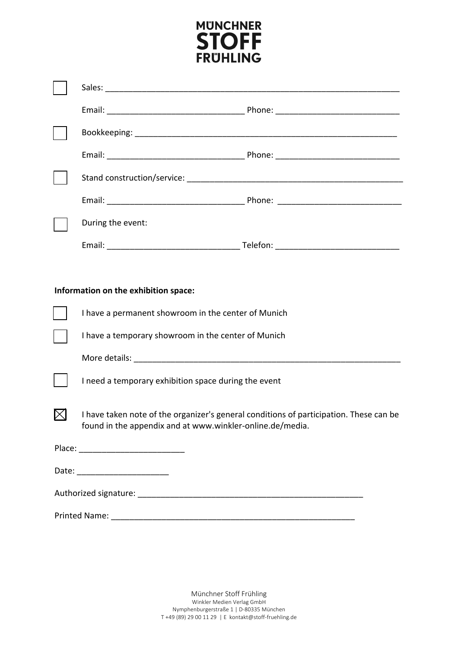

| During the event:                                                                                                                                   |  |
|-----------------------------------------------------------------------------------------------------------------------------------------------------|--|
|                                                                                                                                                     |  |
|                                                                                                                                                     |  |
| Information on the exhibition space:                                                                                                                |  |
| I have a permanent showroom in the center of Munich                                                                                                 |  |
| I have a temporary showroom in the center of Munich                                                                                                 |  |
|                                                                                                                                                     |  |
| I need a temporary exhibition space during the event                                                                                                |  |
| I have taken note of the organizer's general conditions of participation. These can be<br>found in the appendix and at www.winkler-online.de/media. |  |
|                                                                                                                                                     |  |
| Date: ___________________________                                                                                                                   |  |
|                                                                                                                                                     |  |
|                                                                                                                                                     |  |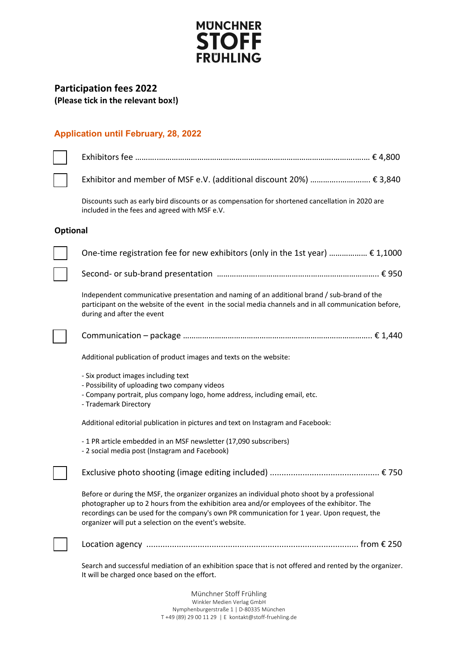

# **Participation fees 2022**

**(Please tick in the relevant box!)**

### **Application until February, 28, 2022**

|                 | Exhibitor and member of MSF e.V. (additional discount 20%)  € 3,840                                                                                                                                                                                                                                                                                  |
|-----------------|------------------------------------------------------------------------------------------------------------------------------------------------------------------------------------------------------------------------------------------------------------------------------------------------------------------------------------------------------|
|                 | Discounts such as early bird discounts or as compensation for shortened cancellation in 2020 are<br>included in the fees and agreed with MSF e.V.                                                                                                                                                                                                    |
| <b>Optional</b> |                                                                                                                                                                                                                                                                                                                                                      |
|                 | One-time registration fee for new exhibitors (only in the 1st year) $\epsilon$ 1,1000                                                                                                                                                                                                                                                                |
|                 |                                                                                                                                                                                                                                                                                                                                                      |
|                 | Independent communicative presentation and naming of an additional brand / sub-brand of the<br>participant on the website of the event in the social media channels and in all communication before,<br>during and after the event                                                                                                                   |
|                 |                                                                                                                                                                                                                                                                                                                                                      |
|                 | Additional publication of product images and texts on the website:                                                                                                                                                                                                                                                                                   |
|                 | - Six product images including text<br>- Possibility of uploading two company videos<br>- Company portrait, plus company logo, home address, including email, etc.<br>- Trademark Directory                                                                                                                                                          |
|                 | Additional editorial publication in pictures and text on Instagram and Facebook:                                                                                                                                                                                                                                                                     |
|                 | - 1 PR article embedded in an MSF newsletter (17,090 subscribers)<br>- 2 social media post (Instagram and Facebook)                                                                                                                                                                                                                                  |
|                 |                                                                                                                                                                                                                                                                                                                                                      |
|                 | Before or during the MSF, the organizer organizes an individual photo shoot by a professional<br>photographer up to 2 hours from the exhibition area and/or employees of the exhibitor. The<br>recordings can be used for the company's own PR communication for 1 year. Upon request, the<br>organizer will put a selection on the event's website. |
|                 |                                                                                                                                                                                                                                                                                                                                                      |
|                 | Search and successful mediation of an exhibition space that is not offered and rented by the organizer.<br>It will be charged once based on the effort.                                                                                                                                                                                              |